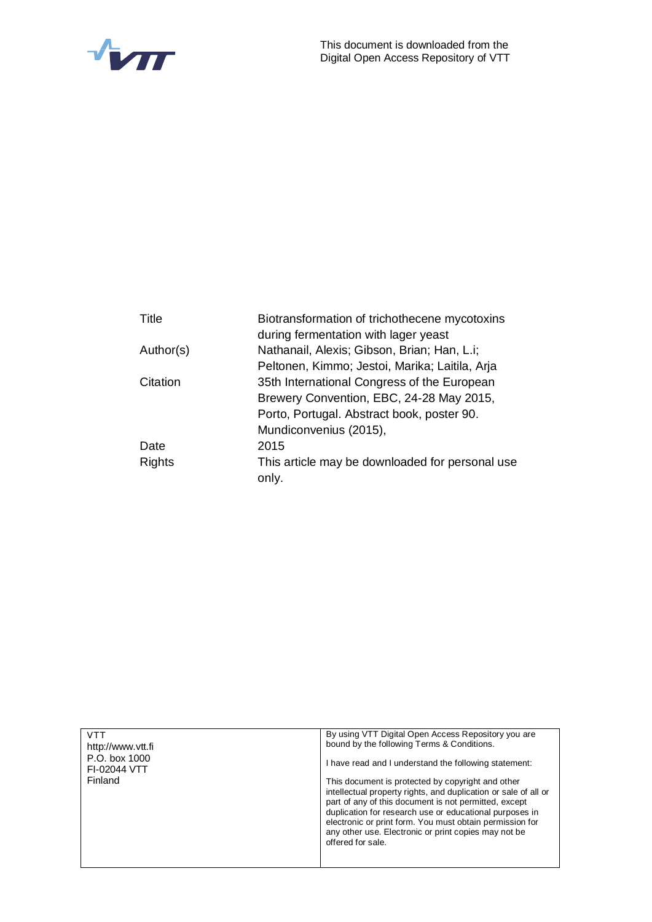

| <b>Title</b>  | Biotransformation of trichothecene mycotoxins   |  |  |  |  |
|---------------|-------------------------------------------------|--|--|--|--|
|               | during fermentation with lager yeast            |  |  |  |  |
| Author(s)     | Nathanail, Alexis; Gibson, Brian; Han, L.i;     |  |  |  |  |
|               | Peltonen, Kimmo; Jestoi, Marika; Laitila, Arja  |  |  |  |  |
| Citation      | 35th International Congress of the European     |  |  |  |  |
|               | Brewery Convention, EBC, 24-28 May 2015,        |  |  |  |  |
|               | Porto, Portugal. Abstract book, poster 90.      |  |  |  |  |
|               | Mundiconvenius (2015),                          |  |  |  |  |
| Date          | 2015                                            |  |  |  |  |
| <b>Rights</b> | This article may be downloaded for personal use |  |  |  |  |
|               | only.                                           |  |  |  |  |
|               |                                                 |  |  |  |  |

| <b>VTT</b><br>http://www.ytt.fi<br>P.O. box 1000<br>FI-02044 VTT<br>Finland | By using VTT Digital Open Access Repository you are<br>bound by the following Terms & Conditions.<br>I have read and I understand the following statement:<br>This document is protected by copyright and other<br>intellectual property rights, and duplication or sale of all or<br>part of any of this document is not permitted, except<br>duplication for research use or educational purposes in<br>electronic or print form. You must obtain permission for |
|-----------------------------------------------------------------------------|--------------------------------------------------------------------------------------------------------------------------------------------------------------------------------------------------------------------------------------------------------------------------------------------------------------------------------------------------------------------------------------------------------------------------------------------------------------------|
|                                                                             | any other use. Electronic or print copies may not be<br>offered for sale.                                                                                                                                                                                                                                                                                                                                                                                          |